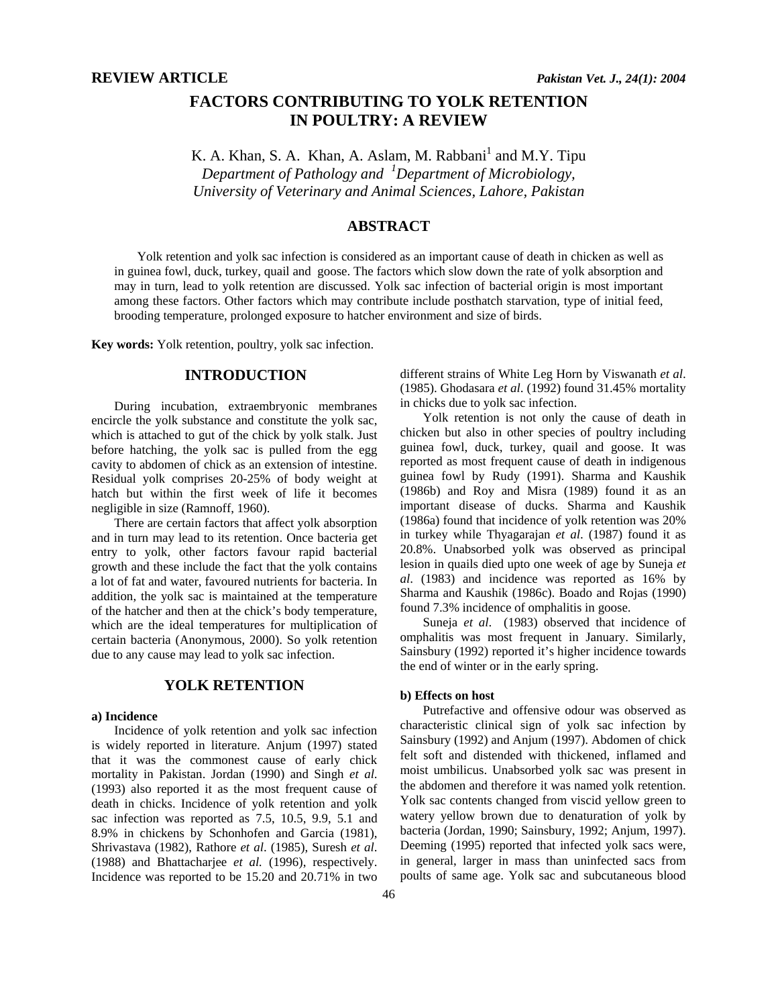# **FACTORS CONTRIBUTING TO YOLK RETENTION IN POULTRY: A REVIEW**

K. A. Khan, S. A. Khan, A. Aslam, M. Rabbani<sup>1</sup> and M.Y. Tipu *Department of Pathology and <sup>1</sup> Department of Microbiology, University of Veterinary and Animal Sciences, Lahore, Pakistan* 

## **ABSTRACT**

Yolk retention and yolk sac infection is considered as an important cause of death in chicken as well as in guinea fowl, duck, turkey, quail and goose. The factors which slow down the rate of yolk absorption and may in turn, lead to yolk retention are discussed. Yolk sac infection of bacterial origin is most important among these factors. Other factors which may contribute include posthatch starvation, type of initial feed, brooding temperature, prolonged exposure to hatcher environment and size of birds.

**Key words:** Yolk retention, poultry, yolk sac infection.

## **INTRODUCTION**

During incubation, extraembryonic membranes encircle the yolk substance and constitute the yolk sac, which is attached to gut of the chick by yolk stalk. Just before hatching, the yolk sac is pulled from the egg cavity to abdomen of chick as an extension of intestine. Residual yolk comprises 20-25% of body weight at hatch but within the first week of life it becomes negligible in size (Ramnoff, 1960).

There are certain factors that affect yolk absorption and in turn may lead to its retention. Once bacteria get entry to yolk, other factors favour rapid bacterial growth and these include the fact that the yolk contains a lot of fat and water, favoured nutrients for bacteria. In addition, the yolk sac is maintained at the temperature of the hatcher and then at the chick's body temperature, which are the ideal temperatures for multiplication of certain bacteria (Anonymous, 2000). So yolk retention due to any cause may lead to yolk sac infection.

## **YOLK RETENTION**

#### **a) Incidence**

Incidence of yolk retention and yolk sac infection is widely reported in literature. Anjum (1997) stated that it was the commonest cause of early chick mortality in Pakistan. Jordan (1990) and Singh *et al*. (1993) also reported it as the most frequent cause of death in chicks. Incidence of yolk retention and yolk sac infection was reported as 7.5, 10.5, 9.9, 5.1 and 8.9% in chickens by Schonhofen and Garcia (1981), Shrivastava (1982), Rathore *et al*. (1985), Suresh *et al*. (1988) and Bhattacharjee *et al.* (1996), respectively. Incidence was reported to be 15.20 and 20.71% in two

different strains of White Leg Horn by Viswanath *et al*. (1985). Ghodasara *et al*. (1992) found 31.45% mortality in chicks due to yolk sac infection.

Yolk retention is not only the cause of death in chicken but also in other species of poultry including guinea fowl, duck, turkey, quail and goose. It was reported as most frequent cause of death in indigenous guinea fowl by Rudy (1991). Sharma and Kaushik (1986b) and Roy and Misra (1989) found it as an important disease of ducks. Sharma and Kaushik (1986a) found that incidence of yolk retention was 20% in turkey while Thyagarajan *et al*. (1987) found it as 20.8%. Unabsorbed yolk was observed as principal lesion in quails died upto one week of age by Suneja *et al*. (1983) and incidence was reported as 16% by Sharma and Kaushik (1986c). Boado and Rojas (1990) found 7.3% incidence of omphalitis in goose.

Suneja *et al*. (1983) observed that incidence of omphalitis was most frequent in January. Similarly, Sainsbury (1992) reported it's higher incidence towards the end of winter or in the early spring.

### **b) Effects on host**

Putrefactive and offensive odour was observed as characteristic clinical sign of yolk sac infection by Sainsbury (1992) and Anjum (1997). Abdomen of chick felt soft and distended with thickened, inflamed and moist umbilicus. Unabsorbed yolk sac was present in the abdomen and therefore it was named yolk retention. Yolk sac contents changed from viscid yellow green to watery yellow brown due to denaturation of yolk by bacteria (Jordan, 1990; Sainsbury, 1992; Anjum, 1997). Deeming (1995) reported that infected yolk sacs were, in general, larger in mass than uninfected sacs from poults of same age. Yolk sac and subcutaneous blood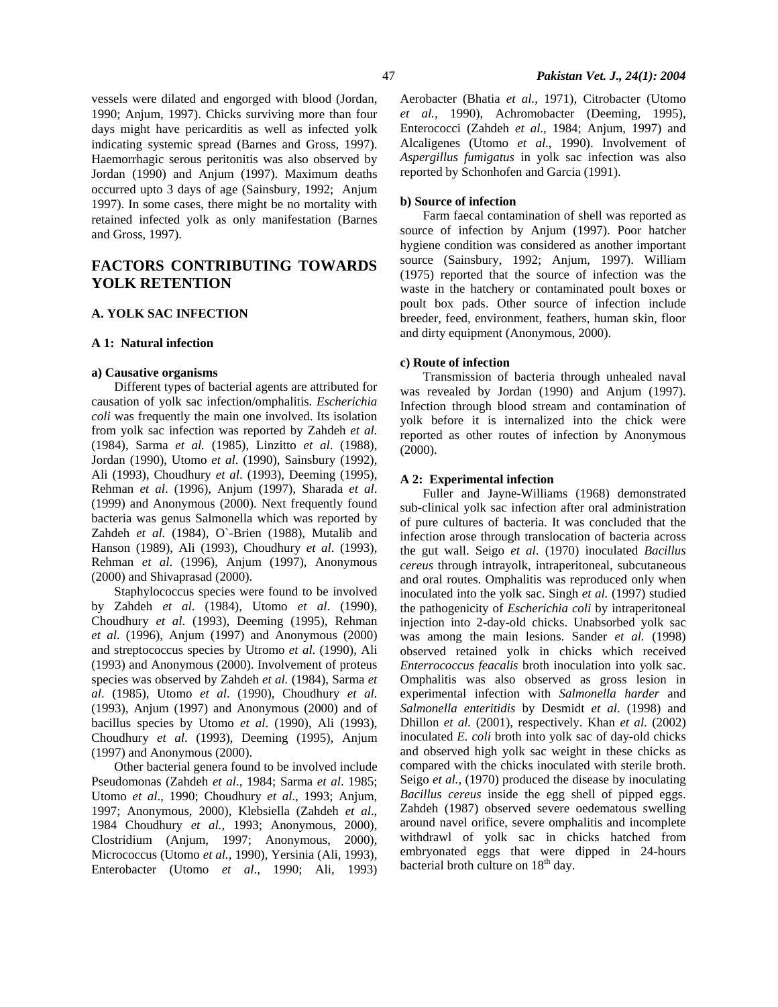vessels were dilated and engorged with blood (Jordan, 1990; Anjum, 1997). Chicks surviving more than four days might have pericarditis as well as infected yolk indicating systemic spread (Barnes and Gross, 1997). Haemorrhagic serous peritonitis was also observed by Jordan (1990) and Anjum (1997). Maximum deaths occurred upto 3 days of age (Sainsbury, 1992; Anjum 1997). In some cases, there might be no mortality with retained infected yolk as only manifestation (Barnes and Gross, 1997).

## **FACTORS CONTRIBUTING TOWARDS YOLK RETENTION**

#### **A. YOLK SAC INFECTION**

#### **A 1: Natural infection**

#### **a) Causative organisms**

Different types of bacterial agents are attributed for causation of yolk sac infection/omphalitis. *Escherichia coli* was frequently the main one involved. Its isolation from yolk sac infection was reported by Zahdeh *et al*. (1984), Sarma *et al.* (1985), Linzitto *et al*. (1988), Jordan (1990), Utomo *et al*. (1990), Sainsbury (1992), Ali (1993), Choudhury *et al*. (1993), Deeming (1995), Rehman *et al*. (1996), Anjum (1997), Sharada *et al*. (1999) and Anonymous (2000). Next frequently found bacteria was genus Salmonella which was reported by Zahdeh *et al*. (1984), O`-Brien (1988), Mutalib and Hanson (1989), Ali (1993), Choudhury *et al*. (1993), Rehman *et al*. (1996), Anjum (1997), Anonymous (2000) and Shivaprasad (2000).

Staphylococcus species were found to be involved by Zahdeh *et al*. (1984), Utomo *et al*. (1990), Choudhury *et al*. (1993), Deeming (1995), Rehman *et al*. (1996), Anjum (1997) and Anonymous (2000) and streptococcus species by Utromo *et al*. (1990), Ali (1993) and Anonymous (2000). Involvement of proteus species was observed by Zahdeh *et al.* (1984), Sarma *et al*. (1985), Utomo *et al*. (1990), Choudhury *et al*. (1993), Anjum (1997) and Anonymous (2000) and of bacillus species by Utomo *et al*. (1990), Ali (1993), Choudhury *et al*. (1993), Deeming (1995), Anjum (1997) and Anonymous (2000).

Other bacterial genera found to be involved include Pseudomonas (Zahdeh *et al*., 1984; Sarma *et al*. 1985; Utomo *et al*., 1990; Choudhury *et al*., 1993; Anjum, 1997; Anonymous, 2000), Klebsiella (Zahdeh *et al*., 1984 Choudhury *et al.,* 1993; Anonymous, 2000), Clostridium (Anjum, 1997; Anonymous, 2000), Micrococcus (Utomo *et al.,* 1990), Yersinia (Ali, 1993), Enterobacter (Utomo *et al*., 1990; Ali, 1993) Aerobacter (Bhatia *et al.,* 1971), Citrobacter (Utomo *et al.,* 1990), Achromobacter (Deeming, 1995), Enterococci (Zahdeh *et al*., 1984; Anjum, 1997) and Alcaligenes (Utomo *et al*., 1990). Involvement of *Aspergillus fumigatus* in yolk sac infection was also reported by Schonhofen and Garcia (1991).

### **b) Source of infection**

Farm faecal contamination of shell was reported as source of infection by Anjum (1997). Poor hatcher hygiene condition was considered as another important source (Sainsbury, 1992; Anjum, 1997). William (1975) reported that the source of infection was the waste in the hatchery or contaminated poult boxes or poult box pads. Other source of infection include breeder, feed, environment, feathers, human skin, floor and dirty equipment (Anonymous, 2000).

### **c) Route of infection**

Transmission of bacteria through unhealed naval was revealed by Jordan (1990) and Anjum (1997). Infection through blood stream and contamination of yolk before it is internalized into the chick were reported as other routes of infection by Anonymous (2000).

#### **A 2: Experimental infection**

Fuller and Jayne-Williams (1968) demonstrated sub-clinical yolk sac infection after oral administration of pure cultures of bacteria. It was concluded that the infection arose through translocation of bacteria across the gut wall. Seigo *et al*. (1970) inoculated *Bacillus cereus* through intrayolk, intraperitoneal, subcutaneous and oral routes. Omphalitis was reproduced only when inoculated into the yolk sac. Singh *et al.* (1997) studied the pathogenicity of *Escherichia coli* by intraperitoneal injection into 2-day-old chicks. Unabsorbed yolk sac was among the main lesions. Sander *et al.* (1998) observed retained yolk in chicks which received *Enterrococcus feacalis* broth inoculation into yolk sac. Omphalitis was also observed as gross lesion in experimental infection with *Salmonella harder* and *Salmonella enteritidis* by Desmidt *et al*. (1998) and Dhillon *et al.* (2001), respectively. Khan *et al*. (2002) inoculated *E. coli* broth into yolk sac of day-old chicks and observed high yolk sac weight in these chicks as compared with the chicks inoculated with sterile broth. Seigo *et al.,* (1970) produced the disease by inoculating *Bacillus cereus* inside the egg shell of pipped eggs. Zahdeh (1987) observed severe oedematous swelling around navel orifice, severe omphalitis and incomplete withdrawl of yolk sac in chicks hatched from embryonated eggs that were dipped in 24-hours bacterial broth culture on  $18<sup>th</sup>$  day.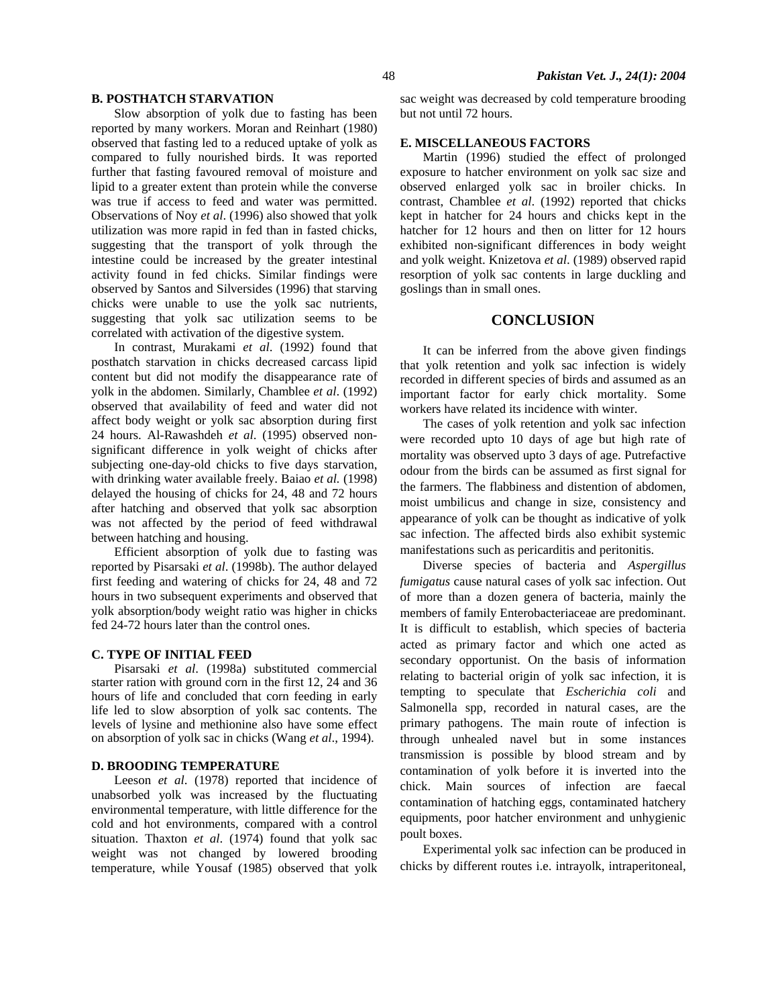Slow absorption of yolk due to fasting has been reported by many workers. Moran and Reinhart (1980) observed that fasting led to a reduced uptake of yolk as compared to fully nourished birds. It was reported further that fasting favoured removal of moisture and lipid to a greater extent than protein while the converse was true if access to feed and water was permitted. Observations of Noy *et al*. (1996) also showed that yolk utilization was more rapid in fed than in fasted chicks, suggesting that the transport of yolk through the intestine could be increased by the greater intestinal activity found in fed chicks. Similar findings were observed by Santos and Silversides (1996) that starving chicks were unable to use the yolk sac nutrients, suggesting that yolk sac utilization seems to be correlated with activation of the digestive system.

In contrast, Murakami *et al*. (1992) found that posthatch starvation in chicks decreased carcass lipid content but did not modify the disappearance rate of yolk in the abdomen. Similarly, Chamblee *et al*. (1992) observed that availability of feed and water did not affect body weight or yolk sac absorption during first 24 hours. Al-Rawashdeh *et al*. (1995) observed nonsignificant difference in yolk weight of chicks after subjecting one-day-old chicks to five days starvation, with drinking water available freely. Baiao *et al.* (1998) delayed the housing of chicks for 24, 48 and 72 hours after hatching and observed that yolk sac absorption was not affected by the period of feed withdrawal between hatching and housing.

Efficient absorption of yolk due to fasting was reported by Pisarsaki *et al*. (1998b). The author delayed first feeding and watering of chicks for 24, 48 and 72 hours in two subsequent experiments and observed that yolk absorption/body weight ratio was higher in chicks fed 24-72 hours later than the control ones.

#### **C. TYPE OF INITIAL FEED**

Pisarsaki *et al*. (1998a) substituted commercial starter ration with ground corn in the first 12, 24 and 36 hours of life and concluded that corn feeding in early life led to slow absorption of yolk sac contents. The levels of lysine and methionine also have some effect on absorption of yolk sac in chicks (Wang *et al*., 1994).

#### **D. BROODING TEMPERATURE**

Leeson *et al*. (1978) reported that incidence of unabsorbed yolk was increased by the fluctuating environmental temperature, with little difference for the cold and hot environments, compared with a control situation. Thaxton *et al*. (1974) found that yolk sac weight was not changed by lowered brooding temperature, while Yousaf (1985) observed that yolk sac weight was decreased by cold temperature brooding but not until 72 hours.

### **E. MISCELLANEOUS FACTORS**

Martin (1996) studied the effect of prolonged exposure to hatcher environment on yolk sac size and observed enlarged yolk sac in broiler chicks. In contrast, Chamblee *et al*. (1992) reported that chicks kept in hatcher for 24 hours and chicks kept in the hatcher for 12 hours and then on litter for 12 hours exhibited non-significant differences in body weight and yolk weight. Knizetova *et al*. (1989) observed rapid resorption of yolk sac contents in large duckling and goslings than in small ones.

#### **CONCLUSION**

It can be inferred from the above given findings that yolk retention and yolk sac infection is widely recorded in different species of birds and assumed as an important factor for early chick mortality. Some workers have related its incidence with winter.

The cases of yolk retention and yolk sac infection were recorded upto 10 days of age but high rate of mortality was observed upto 3 days of age. Putrefactive odour from the birds can be assumed as first signal for the farmers. The flabbiness and distention of abdomen, moist umbilicus and change in size, consistency and appearance of yolk can be thought as indicative of yolk sac infection. The affected birds also exhibit systemic manifestations such as pericarditis and peritonitis.

Diverse species of bacteria and *Aspergillus fumigatus* cause natural cases of yolk sac infection. Out of more than a dozen genera of bacteria, mainly the members of family Enterobacteriaceae are predominant. It is difficult to establish, which species of bacteria acted as primary factor and which one acted as secondary opportunist. On the basis of information relating to bacterial origin of yolk sac infection, it is tempting to speculate that *Escherichia coli* and Salmonella spp, recorded in natural cases, are the primary pathogens. The main route of infection is through unhealed navel but in some instances transmission is possible by blood stream and by contamination of yolk before it is inverted into the chick. Main sources of infection are faecal contamination of hatching eggs, contaminated hatchery equipments, poor hatcher environment and unhygienic poult boxes.

Experimental yolk sac infection can be produced in chicks by different routes i.e. intrayolk, intraperitoneal,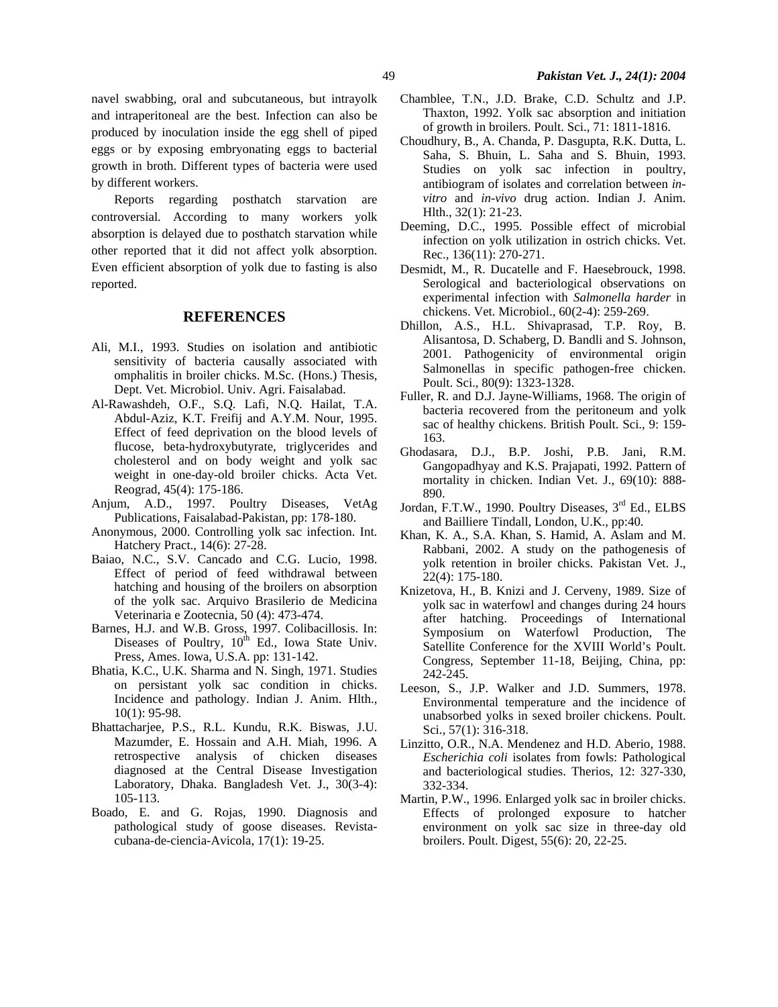navel swabbing, oral and subcutaneous, but intrayolk and intraperitoneal are the best. Infection can also be produced by inoculation inside the egg shell of piped eggs or by exposing embryonating eggs to bacterial growth in broth. Different types of bacteria were used by different workers.

Reports regarding posthatch starvation are controversial. According to many workers yolk absorption is delayed due to posthatch starvation while other reported that it did not affect yolk absorption. Even efficient absorption of yolk due to fasting is also reported.

### **REFERENCES**

- Ali, M.I., 1993. Studies on isolation and antibiotic sensitivity of bacteria causally associated with omphalitis in broiler chicks. M.Sc. (Hons.) Thesis, Dept. Vet. Microbiol. Univ. Agri. Faisalabad.
- Al-Rawashdeh, O.F., S.Q. Lafi, N.Q. Hailat, T.A. Abdul-Aziz, K.T. Freifij and A.Y.M. Nour, 1995. Effect of feed deprivation on the blood levels of flucose, beta-hydroxybutyrate, triglycerides and cholesterol and on body weight and yolk sac weight in one-day-old broiler chicks. Acta Vet. Reograd, 45(4): 175-186.
- Anjum, A.D., 1997. Poultry Diseases, VetAg Publications, Faisalabad-Pakistan, pp: 178-180.
- Anonymous, 2000. Controlling yolk sac infection. Int. Hatchery Pract., 14(6): 27-28.
- Baiao, N.C., S.V. Cancado and C.G. Lucio, 1998. Effect of period of feed withdrawal between hatching and housing of the broilers on absorption of the yolk sac. Arquivo Brasilerio de Medicina Veterinaria e Zootecnia, 50 (4): 473-474.
- Barnes, H.J. and W.B. Gross, 1997. Colibacillosis. In: Diseases of Poultry,  $10^{th}$  Ed., Iowa State Univ. Press, Ames. Iowa, U.S.A. pp: 131-142.
- Bhatia, K.C., U.K. Sharma and N. Singh, 1971. Studies on persistant yolk sac condition in chicks. Incidence and pathology. Indian J. Anim. Hlth., 10(1): 95-98.
- Bhattacharjee, P.S., R.L. Kundu, R.K. Biswas, J.U. Mazumder, E. Hossain and A.H. Miah, 1996. A retrospective analysis of chicken diseases diagnosed at the Central Disease Investigation Laboratory, Dhaka. Bangladesh Vet. J., 30(3-4): 105-113.
- Boado, E. and G. Rojas, 1990. Diagnosis and pathological study of goose diseases. Revistacubana-de-ciencia-Avicola, 17(1): 19-25.
- Chamblee, T.N., J.D. Brake, C.D. Schultz and J.P. Thaxton, 1992. Yolk sac absorption and initiation of growth in broilers. Poult. Sci., 71: 1811-1816.
- Choudhury, B., A. Chanda, P. Dasgupta, R.K. Dutta, L. Saha, S. Bhuin, L. Saha and S. Bhuin, 1993. Studies on yolk sac infection in poultry, antibiogram of isolates and correlation between *invitro* and *in-vivo* drug action. Indian J. Anim. Hlth., 32(1): 21-23.
- Deeming, D.C., 1995. Possible effect of microbial infection on yolk utilization in ostrich chicks. Vet. Rec., 136(11): 270-271.
- Desmidt, M., R. Ducatelle and F. Haesebrouck, 1998. Serological and bacteriological observations on experimental infection with *Salmonella harder* in chickens. Vet. Microbiol., 60(2-4): 259-269.
- Dhillon, A.S., H.L. Shivaprasad, T.P. Roy, B. Alisantosa, D. Schaberg, D. Bandli and S. Johnson, 2001. Pathogenicity of environmental origin Salmonellas in specific pathogen-free chicken. Poult. Sci., 80(9): 1323-1328.
- Fuller, R. and D.J. Jayne-Williams, 1968. The origin of bacteria recovered from the peritoneum and yolk sac of healthy chickens. British Poult. Sci., 9: 159- 163.
- Ghodasara, D.J., B.P. Joshi, P.B. Jani, R.M. Gangopadhyay and K.S. Prajapati, 1992. Pattern of mortality in chicken. Indian Vet. J., 69(10): 888- 890.
- Jordan, F.T.W., 1990. Poultry Diseases, 3<sup>rd</sup> Ed., ELBS and Bailliere Tindall, London, U.K., pp:40.
- Khan, K. A., S.A. Khan, S. Hamid, A. Aslam and M. Rabbani, 2002. A study on the pathogenesis of yolk retention in broiler chicks. Pakistan Vet. J., 22(4): 175-180.
- Knizetova, H., B. Knizi and J. Cerveny, 1989. Size of yolk sac in waterfowl and changes during 24 hours after hatching. Proceedings of International Symposium on Waterfowl Production, The Satellite Conference for the XVIII World's Poult. Congress, September 11-18, Beijing, China, pp: 242-245.
- Leeson, S., J.P. Walker and J.D. Summers, 1978. Environmental temperature and the incidence of unabsorbed yolks in sexed broiler chickens. Poult. Sci., 57(1): 316-318.
- Linzitto, O.R., N.A. Mendenez and H.D. Aberio, 1988. *Escherichia coli* isolates from fowls: Pathological and bacteriological studies. Therios, 12: 327-330, 332-334.
- Martin, P.W., 1996. Enlarged yolk sac in broiler chicks. Effects of prolonged exposure to hatcher environment on yolk sac size in three-day old broilers. Poult. Digest, 55(6): 20, 22-25.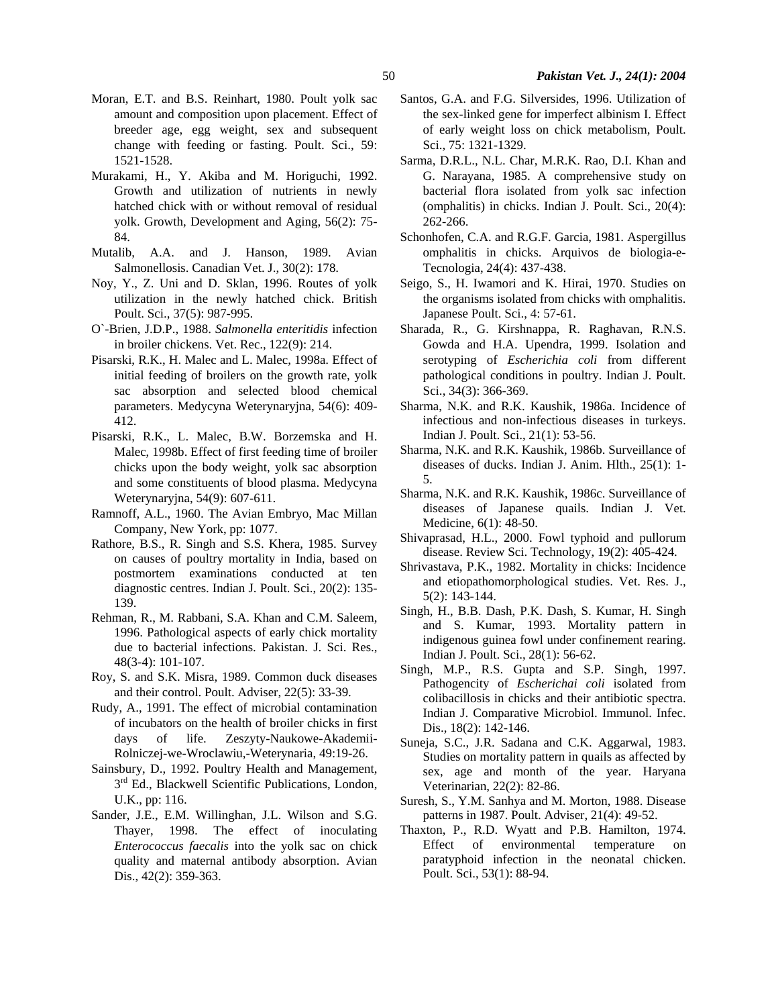- Moran, E.T. and B.S. Reinhart, 1980. Poult yolk sac amount and composition upon placement. Effect of breeder age, egg weight, sex and subsequent change with feeding or fasting. Poult. Sci., 59: 1521-1528.
- Murakami, H., Y. Akiba and M. Horiguchi, 1992. Growth and utilization of nutrients in newly hatched chick with or without removal of residual yolk. Growth, Development and Aging, 56(2): 75- 84.
- Mutalib, A.A. and J. Hanson, 1989. Avian Salmonellosis. Canadian Vet. J., 30(2): 178.
- Noy, Y., Z. Uni and D. Sklan, 1996. Routes of yolk utilization in the newly hatched chick. British Poult. Sci., 37(5): 987-995.
- O`-Brien, J.D.P., 1988. *Salmonella enteritidis* infection in broiler chickens. Vet. Rec., 122(9): 214.
- Pisarski, R.K., H. Malec and L. Malec, 1998a. Effect of initial feeding of broilers on the growth rate, yolk sac absorption and selected blood chemical parameters. Medycyna Weterynaryjna, 54(6): 409- 412.
- Pisarski, R.K., L. Malec, B.W. Borzemska and H. Malec, 1998b. Effect of first feeding time of broiler chicks upon the body weight, yolk sac absorption and some constituents of blood plasma. Medycyna Weterynaryjna, 54(9): 607-611.
- Ramnoff, A.L., 1960. The Avian Embryo, Mac Millan Company, New York, pp: 1077.
- Rathore, B.S., R. Singh and S.S. Khera, 1985. Survey on causes of poultry mortality in India, based on postmortem examinations conducted at ten diagnostic centres. Indian J. Poult. Sci., 20(2): 135- 139.
- Rehman, R., M. Rabbani, S.A. Khan and C.M. Saleem, 1996. Pathological aspects of early chick mortality due to bacterial infections. Pakistan. J. Sci. Res., 48(3-4): 101-107.
- Roy, S. and S.K. Misra, 1989. Common duck diseases and their control. Poult. Adviser, 22(5): 33-39.
- Rudy, A., 1991. The effect of microbial contamination of incubators on the health of broiler chicks in first days of life. Zeszyty-Naukowe-Akademii-Rolniczej-we-Wroclawiu,-Weterynaria, 49:19-26.
- Sainsbury, D., 1992. Poultry Health and Management,  $3<sup>rd</sup>$  Ed., Blackwell Scientific Publications, London, U.K., pp: 116.
- Sander, J.E., E.M. Willinghan, J.L. Wilson and S.G. Thayer, 1998. The effect of inoculating *Enterococcus faecalis* into the yolk sac on chick quality and maternal antibody absorption. Avian Dis., 42(2): 359-363.
- Santos, G.A. and F.G. Silversides, 1996. Utilization of the sex-linked gene for imperfect albinism I. Effect of early weight loss on chick metabolism, Poult. Sci., 75: 1321-1329.
- Sarma, D.R.L., N.L. Char, M.R.K. Rao, D.I. Khan and G. Narayana, 1985. A comprehensive study on bacterial flora isolated from yolk sac infection (omphalitis) in chicks. Indian J. Poult. Sci., 20(4): 262-266.
- Schonhofen, C.A. and R.G.F. Garcia, 1981. Aspergillus omphalitis in chicks. Arquivos de biologia-e-Tecnologia, 24(4): 437-438.
- Seigo, S., H. Iwamori and K. Hirai, 1970. Studies on the organisms isolated from chicks with omphalitis. Japanese Poult. Sci., 4: 57-61.
- Sharada, R., G. Kirshnappa, R. Raghavan, R.N.S. Gowda and H.A. Upendra, 1999. Isolation and serotyping of *Escherichia coli* from different pathological conditions in poultry. Indian J. Poult. Sci., 34(3): 366-369.
- Sharma, N.K. and R.K. Kaushik, 1986a. Incidence of infectious and non-infectious diseases in turkeys. Indian J. Poult. Sci., 21(1): 53-56.
- Sharma, N.K. and R.K. Kaushik, 1986b. Surveillance of diseases of ducks. Indian J. Anim. Hlth., 25(1): 1- 5.
- Sharma, N.K. and R.K. Kaushik, 1986c. Surveillance of diseases of Japanese quails. Indian J. Vet. Medicine, 6(1): 48-50.
- Shivaprasad, H.L., 2000. Fowl typhoid and pullorum disease. Review Sci. Technology, 19(2): 405-424.
- Shrivastava, P.K., 1982. Mortality in chicks: Incidence and etiopathomorphological studies. Vet. Res. J., 5(2): 143-144.
- Singh, H., B.B. Dash, P.K. Dash, S. Kumar, H. Singh and S. Kumar, 1993. Mortality pattern in indigenous guinea fowl under confinement rearing. Indian J. Poult. Sci., 28(1): 56-62.
- Singh, M.P., R.S. Gupta and S.P. Singh, 1997. Pathogencity of *Escherichai coli* isolated from colibacillosis in chicks and their antibiotic spectra. Indian J. Comparative Microbiol. Immunol. Infec. Dis., 18(2): 142-146.
- Suneja, S.C., J.R. Sadana and C.K. Aggarwal, 1983. Studies on mortality pattern in quails as affected by sex, age and month of the year. Haryana Veterinarian, 22(2): 82-86.
- Suresh, S., Y.M. Sanhya and M. Morton, 1988. Disease patterns in 1987. Poult. Adviser, 21(4): 49-52.
- Thaxton, P., R.D. Wyatt and P.B. Hamilton, 1974. Effect of environmental temperature on paratyphoid infection in the neonatal chicken. Poult. Sci., 53(1): 88-94.